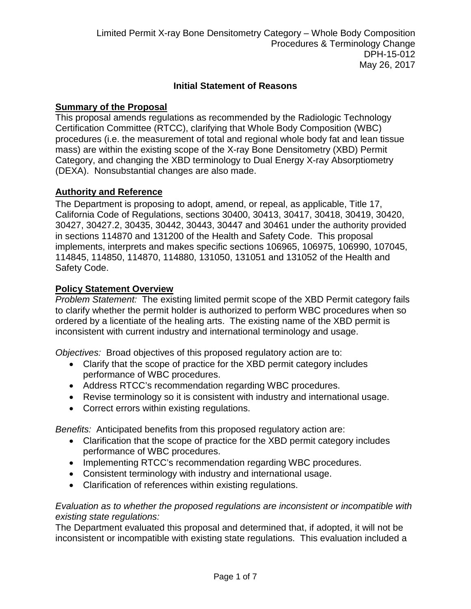### **Initial Statement of Reasons**

### **Summary of the Proposal**

This proposal amends regulations as recommended by the Radiologic Technology Certification Committee (RTCC), clarifying that Whole Body Composition (WBC) procedures (i.e. the measurement of total and regional whole body fat and lean tissue mass) are within the existing scope of the X-ray Bone Densitometry (XBD) Permit Category, and changing the XBD terminology to Dual Energy X-ray Absorptiometry (DEXA). Nonsubstantial changes are also made.

#### **Authority and Reference**

The Department is proposing to adopt, amend, or repeal, as applicable, Title 17, California Code of Regulations, sections 30400, 30413, 30417, 30418, 30419, 30420, 30427, 30427.2, 30435, 30442, 30443, 30447 and 30461 under the authority provided in sections 114870 and 131200 of the Health and Safety Code. This proposal implements, interprets and makes specific sections 106965, 106975, 106990, 107045, 114845, 114850, 114870, 114880, 131050, 131051 and 131052 of the Health and Safety Code.

#### **Policy Statement Overview**

*Problem Statement:* The existing limited permit scope of the XBD Permit category fails to clarify whether the permit holder is authorized to perform WBC procedures when so ordered by a licentiate of the healing arts. The existing name of the XBD permit is inconsistent with current industry and international terminology and usage.

*Objectives:* Broad objectives of this proposed regulatory action are to:

- Clarify that the scope of practice for the XBD permit category includes performance of WBC procedures.
- Address RTCC's recommendation regarding WBC procedures.
- Revise terminology so it is consistent with industry and international usage.
- Correct errors within existing regulations.

*Benefits:* Anticipated benefits from this proposed regulatory action are:

- Clarification that the scope of practice for the XBD permit category includes performance of WBC procedures.
- Implementing RTCC's recommendation regarding WBC procedures.
- Consistent terminology with industry and international usage.
- Clarification of references within existing regulations.

### *Evaluation as to whether the proposed regulations are inconsistent or incompatible with existing state regulations:*

The Department evaluated this proposal and determined that, if adopted, it will not be inconsistent or incompatible with existing state regulations. This evaluation included a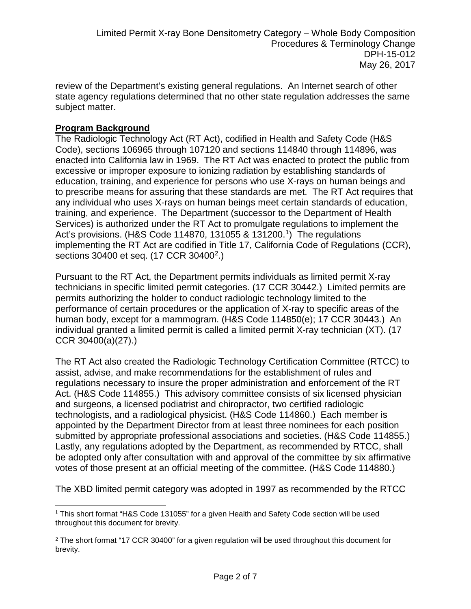review of the Department's existing general regulations. An Internet search of other state agency regulations determined that no other state regulation addresses the same subject matter.

## **Program Background**

The Radiologic Technology Act (RT Act), codified in Health and Safety Code (H&S Code), sections 106965 through 107120 and sections 114840 through 114896, was enacted into California law in 1969. The RT Act was enacted to protect the public from excessive or improper exposure to ionizing radiation by establishing standards of education, training, and experience for persons who use X-rays on human beings and to prescribe means for assuring that these standards are met. The RT Act requires that any individual who uses X-rays on human beings meet certain standards of education, training, and experience. The Department (successor to the Department of Health Services) is authorized under the RT Act to promulgate regulations to implement the Act's provisions. (H&S Code 114870, 131055 & 131200.<sup>1</sup>) The regulations implementing the RT Act are codified in Title 17, California Code of Regulations (CCR), sections 30400 et seq. (17 CCR 30400<sup>2</sup>.)

Pursuant to the RT Act, the Department permits individuals as limited permit X-ray technicians in specific limited permit categories. (17 CCR 30442.) Limited permits are permits authorizing the holder to conduct radiologic technology limited to the performance of certain procedures or the application of X-ray to specific areas of the human body, except for a mammogram. (H&S Code 114850(e); 17 CCR 30443.) An individual granted a limited permit is called a limited permit X-ray technician (XT). (17 CCR 30400(a)(27).)

The RT Act also created the Radiologic Technology Certification Committee (RTCC) to assist, advise, and make recommendations for the establishment of rules and regulations necessary to insure the proper administration and enforcement of the RT Act. (H&S Code 114855.) This advisory committee consists of six licensed physician and surgeons, a licensed podiatrist and chiropractor, two certified radiologic technologists, and a radiological physicist. (H&S Code 114860.) Each member is appointed by the Department Director from at least three nominees for each position submitted by appropriate professional associations and societies. (H&S Code 114855.) Lastly, any regulations adopted by the Department, as recommended by RTCC, shall be adopted only after consultation with and approval of the committee by six affirmative votes of those present at an official meeting of the committee. (H&S Code 114880.)

The XBD limited permit category was adopted in 1997 as recommended by the RTCC

<span id="page-1-0"></span> $\overline{\phantom{a}}$ <sup>1</sup> This short format "H&S Code 131055" for a given Health and Safety Code section will be used throughout this document for brevity.

<span id="page-1-1"></span><sup>&</sup>lt;sup>2</sup> The short format "17 CCR 30400" for a given regulation will be used throughout this document for brevity.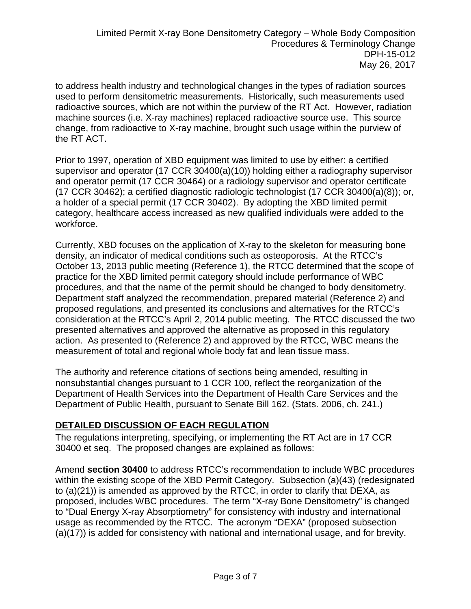to address health industry and technological changes in the types of radiation sources used to perform densitometric measurements. Historically, such measurements used radioactive sources, which are not within the purview of the RT Act. However, radiation machine sources (i.e. X-ray machines) replaced radioactive source use. This source change, from radioactive to X-ray machine, brought such usage within the purview of the RT ACT.

Prior to 1997, operation of XBD equipment was limited to use by either: a certified supervisor and operator (17 CCR 30400(a)(10)) holding either a radiography supervisor and operator permit (17 CCR 30464) or a radiology supervisor and operator certificate  $(17$  CCR 30462); a certified diagnostic radiologic technologist  $(17$  CCR 30400 $(a)(8)$ ); or, a holder of a special permit (17 CCR 30402). By adopting the XBD limited permit category, healthcare access increased as new qualified individuals were added to the workforce.

Currently, XBD focuses on the application of X-ray to the skeleton for measuring bone density, an indicator of medical conditions such as osteoporosis. At the RTCC's October 13, 2013 public meeting (Reference 1), the RTCC determined that the scope of practice for the XBD limited permit category should include performance of WBC procedures, and that the name of the permit should be changed to body densitometry. Department staff analyzed the recommendation, prepared material (Reference 2) and proposed regulations, and presented its conclusions and alternatives for the RTCC's consideration at the RTCC's April 2, 2014 public meeting. The RTCC discussed the two presented alternatives and approved the alternative as proposed in this regulatory action. As presented to (Reference 2) and approved by the RTCC, WBC means the measurement of total and regional whole body fat and lean tissue mass.

The authority and reference citations of sections being amended, resulting in nonsubstantial changes pursuant to 1 CCR 100, reflect the reorganization of the Department of Health Services into the Department of Health Care Services and the Department of Public Health, pursuant to Senate Bill 162. (Stats. 2006, ch. 241.)

## **DETAILED DISCUSSION OF EACH REGULATION**

The regulations interpreting, specifying, or implementing the RT Act are in 17 CCR 30400 et seq. The proposed changes are explained as follows:

Amend **section 30400** to address RTCC's recommendation to include WBC procedures within the existing scope of the XBD Permit Category. Subsection (a)(43) (redesignated to (a)(21)) is amended as approved by the RTCC, in order to clarify that DEXA, as proposed, includes WBC procedures. The term "X-ray Bone Densitometry" is changed to "Dual Energy X-ray Absorptiometry" for consistency with industry and international usage as recommended by the RTCC. The acronym "DEXA" (proposed subsection (a)(17)) is added for consistency with national and international usage, and for brevity.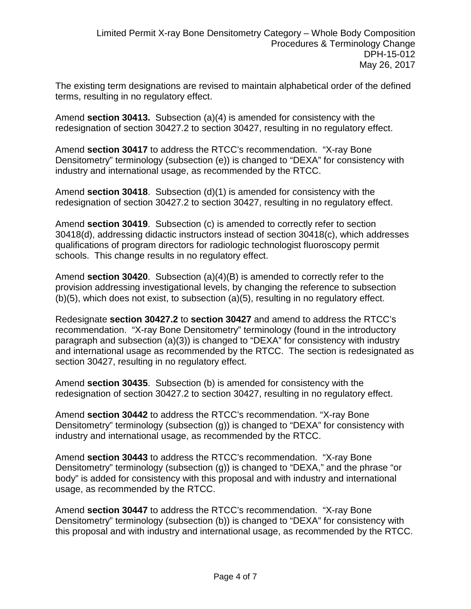The existing term designations are revised to maintain alphabetical order of the defined terms, resulting in no regulatory effect.

Amend **section 30413.** Subsection (a)(4) is amended for consistency with the redesignation of section 30427.2 to section 30427, resulting in no regulatory effect.

Amend **section 30417** to address the RTCC's recommendation. "X-ray Bone Densitometry" terminology (subsection (e)) is changed to "DEXA" for consistency with industry and international usage, as recommended by the RTCC.

Amend **section 30418**. Subsection (d)(1) is amended for consistency with the redesignation of section 30427.2 to section 30427, resulting in no regulatory effect.

Amend **section 30419**. Subsection (c) is amended to correctly refer to section 30418(d), addressing didactic instructors instead of section 30418(c), which addresses qualifications of program directors for radiologic technologist fluoroscopy permit schools. This change results in no regulatory effect.

Amend **section 30420**. Subsection (a)(4)(B) is amended to correctly refer to the provision addressing investigational levels, by changing the reference to subsection (b)(5), which does not exist, to subsection (a)(5), resulting in no regulatory effect.

Redesignate **section 30427.2** to **section 30427** and amend to address the RTCC's recommendation. "X-ray Bone Densitometry" terminology (found in the introductory paragraph and subsection (a)(3)) is changed to "DEXA" for consistency with industry and international usage as recommended by the RTCC. The section is redesignated as section 30427, resulting in no regulatory effect.

Amend **section 30435**. Subsection (b) is amended for consistency with the redesignation of section 30427.2 to section 30427, resulting in no regulatory effect.

Amend **section 30442** to address the RTCC's recommendation. "X-ray Bone Densitometry" terminology (subsection (g)) is changed to "DEXA" for consistency with industry and international usage, as recommended by the RTCC.

Amend **section 30443** to address the RTCC's recommendation. "X-ray Bone Densitometry" terminology (subsection (g)) is changed to "DEXA," and the phrase "or body" is added for consistency with this proposal and with industry and international usage, as recommended by the RTCC.

Amend **section 30447** to address the RTCC's recommendation. "X-ray Bone Densitometry" terminology (subsection (b)) is changed to "DEXA" for consistency with this proposal and with industry and international usage, as recommended by the RTCC.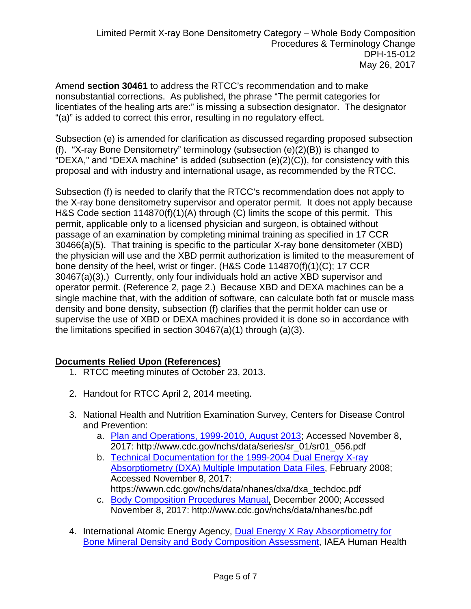Amend **section 30461** to address the RTCC's recommendation and to make nonsubstantial corrections. As published, the phrase "The permit categories for licentiates of the healing arts are:" is missing a subsection designator. The designator "(a)" is added to correct this error, resulting in no regulatory effect.

Subsection (e) is amended for clarification as discussed regarding proposed subsection (f). "X-ray Bone Densitometry" terminology (subsection (e)(2)(B)) is changed to "DEXA," and "DEXA machine" is added (subsection  $(e)(2)(C)$ ), for consistency with this proposal and with industry and international usage, as recommended by the RTCC.

Subsection (f) is needed to clarify that the RTCC's recommendation does not apply to the X-ray bone densitometry supervisor and operator permit. It does not apply because H&S Code section 114870(f)(1)(A) through (C) limits the scope of this permit. This permit, applicable only to a licensed physician and surgeon, is obtained without passage of an examination by completing minimal training as specified in 17 CCR 30466(a)(5). That training is specific to the particular X-ray bone densitometer (XBD) the physician will use and the XBD permit authorization is limited to the measurement of bone density of the heel, wrist or finger. (H&S Code 114870(f)(1)(C); 17 CCR 30467(a)(3).) Currently, only four individuals hold an active XBD supervisor and operator permit. (Reference 2, page 2.) Because XBD and DEXA machines can be a single machine that, with the addition of software, can calculate both fat or muscle mass density and bone density, subsection (f) clarifies that the permit holder can use or supervise the use of XBD or DEXA machines provided it is done so in accordance with the limitations specified in section 30467(a)(1) through (a)(3).

# **Documents Relied Upon (References)**

- 1. RTCC meeting minutes of October 23, 2013.
- 2. Handout for RTCC April 2, 2014 meeting.
- 3. National Health and Nutrition Examination Survey, Centers for Disease Control and Prevention:
	- a. [Plan and Operations, 1999-2010, August 2013;](http://www.cdc.gov/nchs/data/series/sr_01/sr01_056.pdf) Accessed November 8, 2017: http://www.cdc.gov/nchs/data/series/sr\_01/sr01\_056.pdf
	- b. [Technical Documentation for the 1999-2004 Dual Energy X-ray](https://wwwn.cdc.gov/nchs/data/nhanes/dxa/dxa_techdoc.pdf)  [Absorptiometry \(DXA\) Multiple Imputation Data Files,](https://wwwn.cdc.gov/nchs/data/nhanes/dxa/dxa_techdoc.pdf) February 2008; Accessed November 8, 2017: https://wwwn.cdc.gov/nchs/data/nhanes/dxa/dxa\_techdoc.pdf
	- c. [Body Composition Procedures Manual,](http://www.cdc.gov/nchs/data/nhanes/bc.pdf) December 2000; Accessed November 8, 2017: http://www.cdc.gov/nchs/data/nhanes/bc.pdf
- 4. International Atomic Energy Agency, Dual Energy X Ray Absorptiometry for [Bone Mineral Density and Body Composition Assessment,](http://www-pub.iaea.org/MTCD/Publications/PDF/Pub1479_web.pdf) IAEA Human Health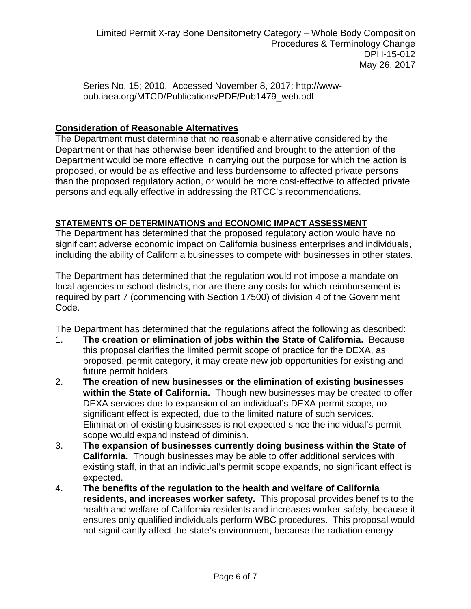Series No. 15; 2010. Accessed November 8, 2017: http://wwwpub.iaea.org/MTCD/Publications/PDF/Pub1479\_web.pdf

# **Consideration of Reasonable Alternatives**

The Department must determine that no reasonable alternative considered by the Department or that has otherwise been identified and brought to the attention of the Department would be more effective in carrying out the purpose for which the action is proposed, or would be as effective and less burdensome to affected private persons than the proposed regulatory action, or would be more cost-effective to affected private persons and equally effective in addressing the RTCC's recommendations.

# **STATEMENTS OF DETERMINATIONS and ECONOMIC IMPACT ASSESSMENT**

The Department has determined that the proposed regulatory action would have no significant adverse economic impact on California business enterprises and individuals, including the ability of California businesses to compete with businesses in other states.

The Department has determined that the regulation would not impose a mandate on local agencies or school districts, nor are there any costs for which reimbursement is required by part 7 (commencing with Section 17500) of division 4 of the Government Code.

The Department has determined that the regulations affect the following as described:

- 1. **The creation or elimination of jobs within the State of California.** Because this proposal clarifies the limited permit scope of practice for the DEXA, as proposed, permit category, it may create new job opportunities for existing and future permit holders.
- 2. **The creation of new businesses or the elimination of existing businesses within the State of California.** Though new businesses may be created to offer DEXA services due to expansion of an individual's DEXA permit scope, no significant effect is expected, due to the limited nature of such services. Elimination of existing businesses is not expected since the individual's permit scope would expand instead of diminish.
- 3. **The expansion of businesses currently doing business within the State of California.** Though businesses may be able to offer additional services with existing staff, in that an individual's permit scope expands, no significant effect is expected.
- 4. **The benefits of the regulation to the health and welfare of California residents, and increases worker safety.** This proposal provides benefits to the health and welfare of California residents and increases worker safety, because it ensures only qualified individuals perform WBC procedures. This proposal would not significantly affect the state's environment, because the radiation energy